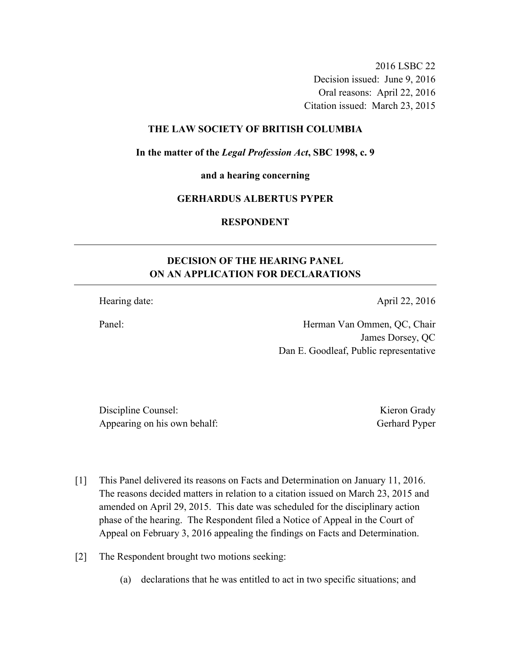2016 LSBC 22 Decision issued: June 9, 2016 Oral reasons: April 22, 2016 Citation issued: March 23, 2015

## **THE LAW SOCIETY OF BRITISH COLUMBIA**

**In the matter of the** *Legal Profession Act***, SBC 1998, c. 9** 

**and a hearing concerning** 

## **GERHARDUS ALBERTUS PYPER**

**RESPONDENT** 

## **DECISION OF THE HEARING PANEL ON AN APPLICATION FOR DECLARATIONS**

Hearing date: April 22, 2016

Panel: Herman Van Ommen, QC, Chair James Dorsey, QC Dan E. Goodleaf, Public representative

Discipline Counsel: Kieron Grady Appearing on his own behalf: Gerhard Pyper

- [1] This Panel delivered its reasons on Facts and Determination on January 11, 2016. The reasons decided matters in relation to a citation issued on March 23, 2015 and amended on April 29, 2015. This date was scheduled for the disciplinary action phase of the hearing. The Respondent filed a Notice of Appeal in the Court of Appeal on February 3, 2016 appealing the findings on Facts and Determination.
- [2] The Respondent brought two motions seeking:
	- (a) declarations that he was entitled to act in two specific situations; and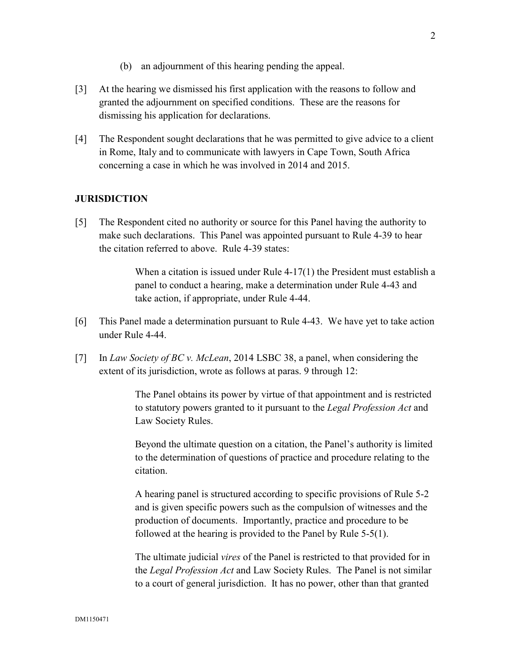- (b) an adjournment of this hearing pending the appeal.
- [3] At the hearing we dismissed his first application with the reasons to follow and granted the adjournment on specified conditions. These are the reasons for dismissing his application for declarations.
- [4] The Respondent sought declarations that he was permitted to give advice to a client in Rome, Italy and to communicate with lawyers in Cape Town, South Africa concerning a case in which he was involved in 2014 and 2015.

## **JURISDICTION**

[5] The Respondent cited no authority or source for this Panel having the authority to make such declarations. This Panel was appointed pursuant to Rule 4-39 to hear the citation referred to above. Rule 4-39 states:

> When a citation is issued under Rule 4-17(1) the President must establish a panel to conduct a hearing, make a determination under Rule 4-43 and take action, if appropriate, under Rule 4-44.

- [6] This Panel made a determination pursuant to Rule 4-43. We have yet to take action under Rule 4-44.
- [7] In *Law Society of BC v. McLean*, 2014 LSBC 38, a panel, when considering the extent of its jurisdiction, wrote as follows at paras. 9 through 12:

The Panel obtains its power by virtue of that appointment and is restricted to statutory powers granted to it pursuant to the *Legal Profession Act* and Law Society Rules.

Beyond the ultimate question on a citation, the Panel's authority is limited to the determination of questions of practice and procedure relating to the citation.

A hearing panel is structured according to specific provisions of Rule 5-2 and is given specific powers such as the compulsion of witnesses and the production of documents. Importantly, practice and procedure to be followed at the hearing is provided to the Panel by Rule 5-5(1).

The ultimate judicial *vires* of the Panel is restricted to that provided for in the *Legal Profession Act* and Law Society Rules. The Panel is not similar to a court of general jurisdiction. It has no power, other than that granted